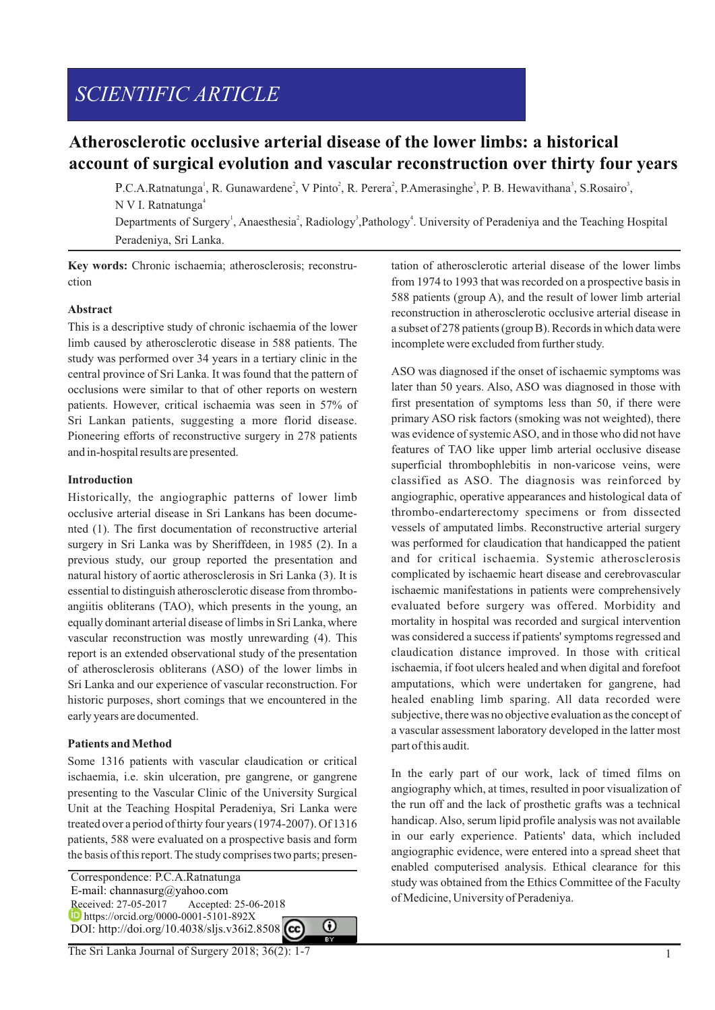# *SCIENTIFIC ARTICLE*

# **Atherosclerotic occlusive arterial disease of the lower limbs: a historical account of surgical evolution and vascular reconstruction over thirty four years**

P.C.A.Ratnatunga<sup>1</sup>, R. Gunawardene<sup>2</sup>, V Pinto<sup>2</sup>, R. Perera<sup>2</sup>, P.Amerasinghe<sup>3</sup>, P. B. Hewavithana<sup>3</sup>, S.Rosairo<sup>3</sup>, N V I. Ratnatunga<sup>4</sup>

Departments of Surgery<sup>1</sup>, Anaesthesia<sup>2</sup>, Radiology<sup>3</sup>, Pathology<sup>4</sup>. University of Peradeniya and the Teaching Hospital Peradeniya, Sri Lanka.

**Key words:** Chronic ischaemia; atherosclerosis; reconstruction

### **Abstract**

This is a descriptive study of chronic ischaemia of the lower limb caused by atherosclerotic disease in 588 patients. The study was performed over 34 years in a tertiary clinic in the central province of Sri Lanka. It was found that the pattern of occlusions were similar to that of other reports on western patients. However, critical ischaemia was seen in 57% of Sri Lankan patients, suggesting a more florid disease. Pioneering efforts of reconstructive surgery in 278 patients and in-hospital results are presented.

#### **Introduction**

Historically, the angiographic patterns of lower limb occlusive arterial disease in Sri Lankans has been documented (1). The first documentation of reconstructive arterial surgery in Sri Lanka was by Sheriffdeen, in 1985 (2). In a previous study, our group reported the presentation and natural history of aortic atherosclerosis in Sri Lanka (3). It is essential to distinguish atherosclerotic disease from thromboangiitis obliterans (TAO), which presents in the young, an equally dominant arterial disease of limbs in Sri Lanka, where vascular reconstruction was mostly unrewarding (4). This report is an extended observational study of the presentation of atherosclerosis obliterans (ASO) of the lower limbs in Sri Lanka and our experience of vascular reconstruction. For historic purposes, short comings that we encountered in the early years are documented.

# **Patients and Method**

Some 1316 patients with vascular claudication or critical ischaemia, i.e. skin ulceration, pre gangrene, or gangrene presenting to the Vascular Clinic of the University Surgical Unit at the Teaching Hospital Peradeniya, Sri Lanka were treated over a period of thirty four years (1974-2007). Of 1316 patients, 588 were evaluated on a prospective basis and form the basis of this report. The study comprises two parts; presen-

⋒

 Correspondence: P.C.A.Ratnatunga E-mail: channasurg@yahoo.com Received: 27-05-2017 Accepted: 25-06-2018 **h** https://orcid.org/0000-0001-5101-892X DOI: http://doi.org/10.4038/sljs.v36i2.8508 tation of atherosclerotic arterial disease of the lower limbs from 1974 to 1993 that was recorded on a prospective basis in 588 patients (group A), and the result of lower limb arterial reconstruction in atherosclerotic occlusive arterial disease in a subset of 278 patients (group B). Records in which data were incomplete were excluded from further study.

ASO was diagnosed if the onset of ischaemic symptoms was later than 50 years. Also, ASO was diagnosed in those with first presentation of symptoms less than 50, if there were primary ASO risk factors (smoking was not weighted), there was evidence of systemic ASO, and in those who did not have features of TAO like upper limb arterial occlusive disease superficial thrombophlebitis in non-varicose veins, were classified as ASO. The diagnosis was reinforced by angiographic, operative appearances and histological data of thrombo-endarterectomy specimens or from dissected vessels of amputated limbs. Reconstructive arterial surgery was performed for claudication that handicapped the patient and for critical ischaemia. Systemic atherosclerosis complicated by ischaemic heart disease and cerebrovascular ischaemic manifestations in patients were comprehensively evaluated before surgery was offered. Morbidity and mortality in hospital was recorded and surgical intervention was considered a success if patients' symptoms regressed and claudication distance improved. In those with critical ischaemia, if foot ulcers healed and when digital and forefoot amputations, which were undertaken for gangrene, had healed enabling limb sparing. All data recorded were subjective, there was no objective evaluation as the concept of a vascular assessment laboratory developed in the latter most part of this audit.

In the early part of our work, lack of timed films on angiography which, at times, resulted in poor visualization of the run off and the lack of prosthetic grafts was a technical handicap. Also, serum lipid profile analysis was not available in our early experience. Patients' data, which included angiographic evidence, were entered into a spread sheet that enabled computerised analysis. Ethical clearance for this study was obtained from the Ethics Committee of the Faculty of Medicine, University of Peradeniya.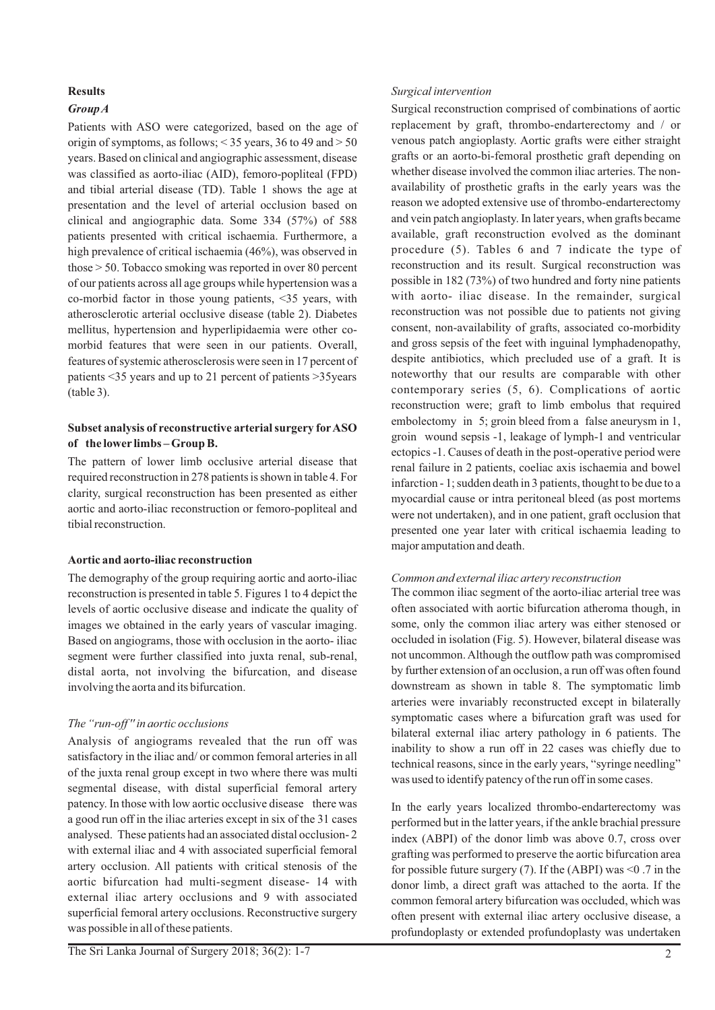# **Results**

# *Group A*

Patients with ASO were categorized, based on the age of origin of symptoms, as follows; < 35 years, 36 to 49 and > 50 years. Based on clinical and angiographic assessment, disease was classified as aorto-iliac (AID), femoro-popliteal (FPD) and tibial arterial disease (TD). Table 1 shows the age at presentation and the level of arterial occlusion based on clinical and angiographic data. Some 334 (57%) of 588 patients presented with critical ischaemia. Furthermore, a high prevalence of critical ischaemia (46%), was observed in those > 50. Tobacco smoking was reported in over 80 percent of our patients across all age groups while hypertension was a co-morbid factor in those young patients, <35 years, with atherosclerotic arterial occlusive disease (table 2). Diabetes mellitus, hypertension and hyperlipidaemia were other comorbid features that were seen in our patients. Overall, features of systemic atherosclerosis were seen in 17 percent of patients <35 years and up to 21 percent of patients >35years  $(table 3)$ .

# **Subset analysis of reconstructive arterial surgery forASO of the lower limbs – Group B.**

The pattern of lower limb occlusive arterial disease that required reconstruction in 278 patients is shown in table 4. For clarity, surgical reconstruction has been presented as either aortic and aorto-iliac reconstruction or femoro-popliteal and tibial reconstruction.

# **Aortic and aorto-iliac reconstruction**

The demography of the group requiring aortic and aorto-iliac reconstruction is presented in table 5. Figures 1 to 4 depict the levels of aortic occlusive disease and indicate the quality of images we obtained in the early years of vascular imaging. Based on angiograms, those with occlusion in the aorto- iliac segment were further classified into juxta renal, sub-renal, distal aorta, not involving the bifurcation, and disease involving the aorta and its bifurcation.

# *The "run-off '' in aortic occlusions*

Analysis of angiograms revealed that the run off was satisfactory in the iliac and/ or common femoral arteries in all of the juxta renal group except in two where there was multi segmental disease, with distal superficial femoral artery patency. In those with low aortic occlusive disease there was a good run off in the iliac arteries except in six of the 31 cases analysed. These patients had an associated distal occlusion- 2 with external iliac and 4 with associated superficial femoral artery occlusion. All patients with critical stenosis of the aortic bifurcation had multi-segment disease- 14 with external iliac artery occlusions and 9 with associated superficial femoral artery occlusions. Reconstructive surgery was possible in all of these patients.

Surgical reconstruction comprised of combinations of aortic replacement by graft, thrombo-endarterectomy and / or venous patch angioplasty. Aortic grafts were either straight grafts or an aorto-bi-femoral prosthetic graft depending on whether disease involved the common iliac arteries. The nonavailability of prosthetic grafts in the early years was the reason we adopted extensive use of thrombo-endarterectomy and vein patch angioplasty. In later years, when grafts became available, graft reconstruction evolved as the dominant procedure (5). Tables 6 and 7 indicate the type of reconstruction and its result. Surgical reconstruction was possible in 182 (73%) of two hundred and forty nine patients with aorto- iliac disease. In the remainder, surgical reconstruction was not possible due to patients not giving consent, non-availability of grafts, associated co-morbidity and gross sepsis of the feet with inguinal lymphadenopathy, despite antibiotics, which precluded use of a graft. It is noteworthy that our results are comparable with other contemporary series (5, 6). Complications of aortic reconstruction were; graft to limb embolus that required embolectomy in 5; groin bleed from a false aneurysm in 1, groin wound sepsis -1, leakage of lymph-1 and ventricular ectopics -1. Causes of death in the post-operative period were renal failure in 2 patients, coeliac axis ischaemia and bowel infarction - 1; sudden death in 3 patients, thought to be due to a myocardial cause or intra peritoneal bleed (as post mortems were not undertaken), and in one patient, graft occlusion that presented one year later with critical ischaemia leading to major amputation and death.

# *Common and external iliac artery reconstruction*

The common iliac segment of the aorto-iliac arterial tree was often associated with aortic bifurcation atheroma though, in some, only the common iliac artery was either stenosed or occluded in isolation (Fig. 5). However, bilateral disease was not uncommon. Although the outflow path was compromised by further extension of an occlusion, a run off was often found downstream as shown in table 8. The symptomatic limb arteries were invariably reconstructed except in bilaterally symptomatic cases where a bifurcation graft was used for bilateral external iliac artery pathology in 6 patients. The inability to show a run off in 22 cases was chiefly due to technical reasons, since in the early years, "syringe needling" was used to identify patency of the run off in some cases.

In the early years localized thrombo-endarterectomy was performed but in the latter years, if the ankle brachial pressure index (ABPI) of the donor limb was above 0.7, cross over grafting was performed to preserve the aortic bifurcation area for possible future surgery (7). If the (ABPI) was  $\leq 0.7$  in the donor limb, a direct graft was attached to the aorta. If the common femoral artery bifurcation was occluded, which was often present with external iliac artery occlusive disease, a profundoplasty or extended profundoplasty was undertaken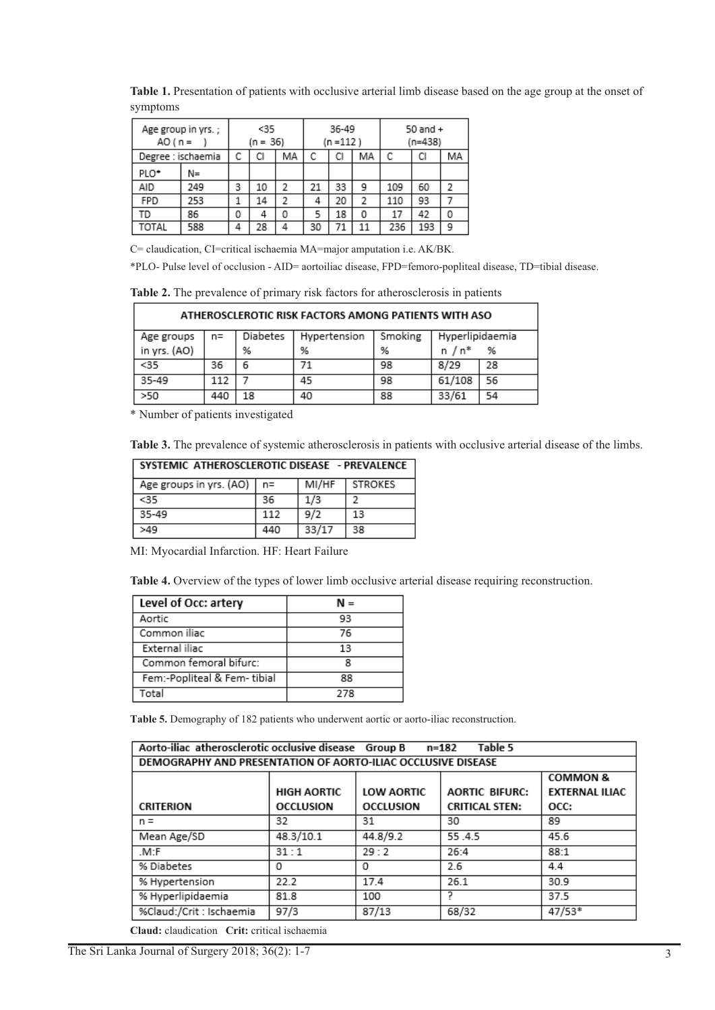**Table 1.** Presentation of patients with occlusive arterial limb disease based on the age group at the onset of symptoms

| AO ( $n =$       | Age group in yrs.; | $35$<br>$(n = 36)$ |    | 36-49<br>$(n = 112)$ |    | 50 and $+$<br>$(n=438)$ |    |     |     |    |
|------------------|--------------------|--------------------|----|----------------------|----|-------------------------|----|-----|-----|----|
|                  | Degree : ischaemia | С                  | СI | МA                   | C  | СI                      | МA | С   | СI  | МA |
| PLO <sup>+</sup> | N=                 |                    |    |                      |    |                         |    |     |     |    |
| AID              | 249                | 3                  | 10 | 2                    | 21 | 33                      | 9  | 109 | 60  | 2  |
| FPD              | 253                |                    | 14 | 2                    | 4  | 20                      | 2  | 110 | 93  |    |
| TD               | 86                 | 0                  | 4  | 0                    | 5  | 18                      | 0  | 17  | 42  | 0  |
| TOTAL            | 588                | 4                  | 28 | 4                    | 30 | 71                      | 11 | 236 | 193 | ۹  |

C= claudication, CI=critical ischaemia MA=major amputation i.e. AK/BK.

\*PLO- Pulse level of occlusion - AID= aortoiliac disease, FPD=femoro-popliteal disease, TD=tibial disease.

**Table 2.** The prevalence of primary risk factors for atherosclerosis in patients

| ATHEROSCLEROTIC RISK FACTORS AMONG PATIENTS WITH ASO |     |          |              |         |                 |    |  |  |  |
|------------------------------------------------------|-----|----------|--------------|---------|-----------------|----|--|--|--|
| Age groups                                           | n=  | Diabetes | Hypertension | Smoking | Hyperlipidaemia |    |  |  |  |
| in yrs. (AO)                                         |     | %        | %            | %       | n / n*          | %  |  |  |  |
| $35$                                                 | 36  | 6        |              | 98      | 8/29            | 28 |  |  |  |
| 35-49                                                | 112 |          | 45           | 98      | 61/108          | 56 |  |  |  |
| >50                                                  | 440 | 18       | 40           | 88      | 33/61           | 54 |  |  |  |

\* Number of patients investigated

**Table 3.** The prevalence of systemic atherosclerosis in patients with occlusive arterial disease of the limbs.

| SYSTEMIC ATHEROSCLEROTIC DISEASE - PREVALENCE |       |       |           |  |  |  |  |  |
|-----------------------------------------------|-------|-------|-----------|--|--|--|--|--|
| Age groups in yrs. (AO)                       | $n =$ | MI/HF | I STROKES |  |  |  |  |  |
| $35$                                          | 36    | 1/3   |           |  |  |  |  |  |
| 35-49                                         | 112   | 9/2   | 13        |  |  |  |  |  |
| >49                                           | 440   | 33/17 | 38        |  |  |  |  |  |

MI: Myocardial Infarction. HF: Heart Failure

**Table 4.** Overview of the types of lower limb occlusive arterial disease requiring reconstruction.

| Level of Occ: artery        | N = |
|-----------------------------|-----|
| Aortic                      | 93  |
| Common iliac                | 76  |
| External iliac              | 13  |
| Common femoral bifurc:      |     |
| Fem:-Popliteal & Fem-tibial | 88  |
| Total                       | 278 |

**Table 5.** Demography of 182 patients who underwent aortic or aorto-iliac reconstruction.

| Aorto-iliac atherosclerotic occlusive disease Group B<br>Table 5<br>n=182 |                     |                   |                       |                       |  |  |  |  |
|---------------------------------------------------------------------------|---------------------|-------------------|-----------------------|-----------------------|--|--|--|--|
| DEMOGRAPHY AND PRESENTATION OF AORTO-ILIAC OCCLUSIVE DISEASE              |                     |                   |                       |                       |  |  |  |  |
|                                                                           | <b>COMMON &amp;</b> |                   |                       |                       |  |  |  |  |
|                                                                           | <b>HIGH AORTIC</b>  | <b>LOW AORTIC</b> | <b>AORTIC BIFURC:</b> | <b>EXTERNAL ILIAC</b> |  |  |  |  |
| <b>CRITERION</b>                                                          | <b>OCCLUSION</b>    | <b>OCCLUSION</b>  | <b>CRITICAL STEN:</b> | OCC:                  |  |  |  |  |
| $n =$                                                                     | 32                  | 31                | 30                    | 89                    |  |  |  |  |
| Mean Age/SD                                                               | 48.3/10.1           | 44.8/9.2          | 55.4.5                | 45.6                  |  |  |  |  |
| .M:F                                                                      | 31:1                | 29:2              | 26:4                  | 88:1                  |  |  |  |  |
| % Diabetes                                                                | 0                   | 0                 | 2.6                   | 4.4                   |  |  |  |  |
| % Hypertension                                                            | 22.2                | 17.4              | 26.1                  | 30.9                  |  |  |  |  |
| % Hyperlipidaemia                                                         | 81.8                | 100               |                       | 37.5                  |  |  |  |  |
| %Claud:/Crit : Ischaemia                                                  | 97/3                | 87/13             | 68/32                 | 47/53*                |  |  |  |  |

**Claud:** claudication **Crit:** critical ischaemia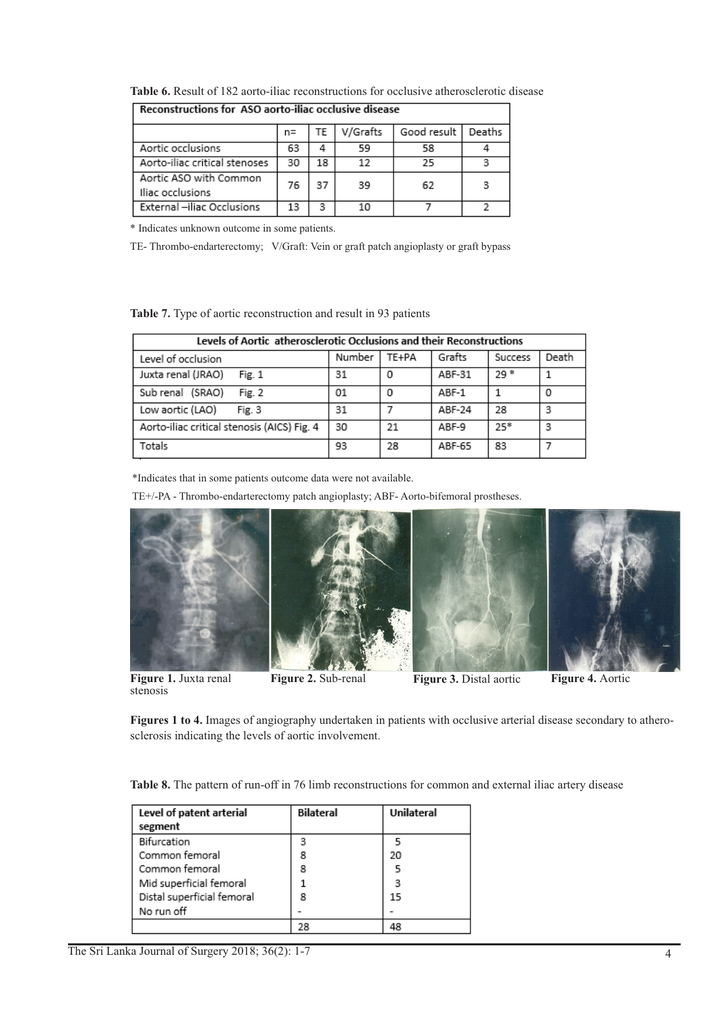|                                            | n= | TF | V/Grafts | Good result | Deaths |  |  |  |  |
|--------------------------------------------|----|----|----------|-------------|--------|--|--|--|--|
| Aortic occlusions                          | 63 | 4  | 59       | 58          |        |  |  |  |  |
| Aorto-iliac critical stenoses              | 30 | 18 | 12       | 25          |        |  |  |  |  |
| Aortic ASO with Common<br>Iliac occlusions | 76 | 37 | 39       | 62          | з      |  |  |  |  |
| External -iliac Occlusions                 | 13 | з  | 10       |             |        |  |  |  |  |

**Table 6.** Result of 182 aorto-iliac reconstructions for occlusive atherosclerotic disease Reconstructions for ASO aorto-iliac occlusive disease ٦

\* Indicates unknown outcome in some patients.

TE- Thrombo-endarterectomy; V/Graft: Vein or graft patch angioplasty or graft bypass

**Table 7.** Type of aortic reconstruction and result in 93 patients

| Levels of Aortic atherosclerotic Occlusions and their Reconstructions |        |       |        |         |       |  |  |  |  |
|-----------------------------------------------------------------------|--------|-------|--------|---------|-------|--|--|--|--|
| Level of occlusion                                                    | Number | TE+PA | Grafts | Success | Death |  |  |  |  |
| Juxta renal (JRAO)<br>Fig. 1                                          | 31     | Ω     | ABF-31 | $29*$   |       |  |  |  |  |
| Sub renal (SRAO)<br>Fig. 2                                            | 01     | 0     | ABF-1  |         | 0     |  |  |  |  |
| Low aortic (LAO)<br>Fig. 3                                            | 31     |       | ABF-24 | 28      | З     |  |  |  |  |
| Aorto-iliac critical stenosis (AICS) Fig. 4                           | 30     | 21    | ABF-9  | $25*$   | 3     |  |  |  |  |
| Totals                                                                | 93     | 28    | ABF-65 | 83      |       |  |  |  |  |

\*Indicates that in some patients outcome data were not available.

TE+/-PA - Thrombo-endarterectomy patch angioplasty; ABF- Aorto-bifemoral prostheses.



**Figure 1.** Juxta renal stenosis

**Figure 2.** Sub-renal **Figure 3.** Distal aortic **Figure 4.** Aortic

**Figures 1 to 4.** Images of angiography undertaken in patients with occlusive arterial disease secondary to atherosclerosis indicating the levels of aortic involvement.

**Table 8.** The pattern of run-off in 76 limb reconstructions for common and external iliac artery disease

| Level of patent arterial<br>segment | <b>Bilateral</b> | Unilateral |
|-------------------------------------|------------------|------------|
| Bifurcation                         | 3                |            |
| Common femoral                      | 8                | 20         |
| Common femoral                      | 8                |            |
| Mid superficial femoral             |                  | 3          |
| Distal superficial femoral          | 8                | 15         |
| No run off                          |                  |            |
|                                     | 28               |            |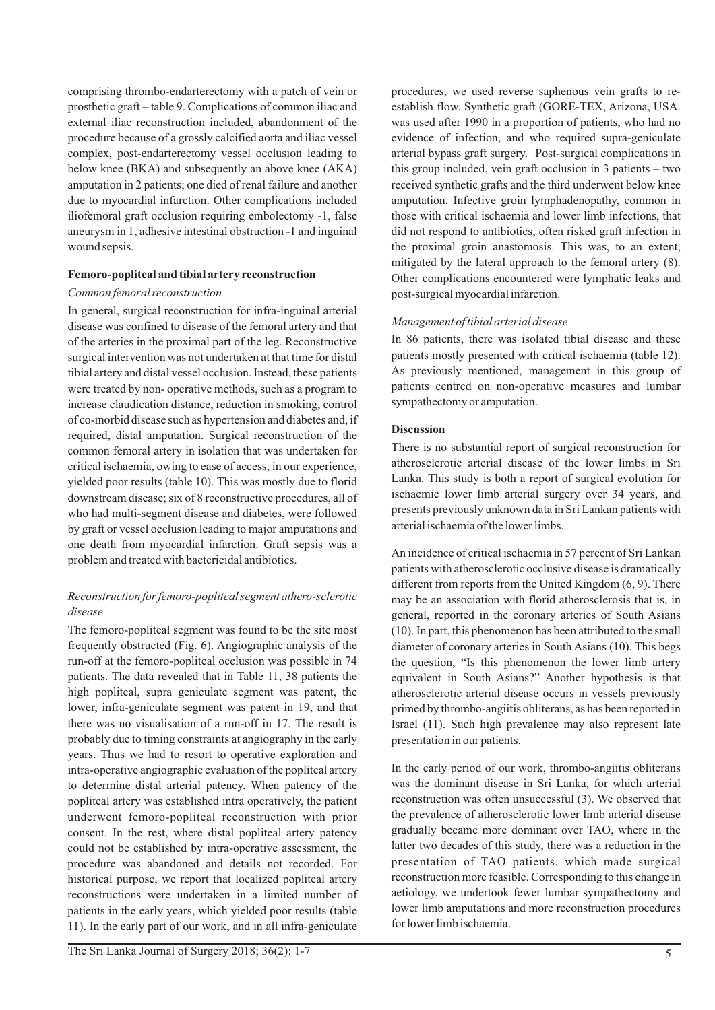comprising thrombo-endarterectomy with a patch of vein or prosthetic graft – table 9. Complications of common iliac and external iliac reconstruction included, abandonment of the procedure because of a grossly calcified aorta and iliac vessel complex, post-endarterectomy vessel occlusion leading to below knee (BKA) and subsequently an above knee (AKA) amputation in 2 patients; one died of renal failure and another due to myocardial infarction. Other complications included iliofemoral graft occlusion requiring embolectomy -1, false aneurysm in 1, adhesive intestinal obstruction -1 and inguinal wound sepsis.

### **Femoro-popliteal and tibial artery reconstruction**

### *Common femoral reconstruction*

In general, surgical reconstruction for infra-inguinal arterial disease was confined to disease of the femoral artery and that of the arteries in the proximal part of the leg. Reconstructive surgical intervention was not undertaken at that time for distal tibial artery and distal vessel occlusion. Instead, these patients were treated by non- operative methods, such as a program to increase claudication distance, reduction in smoking, control of co-morbid disease such as hypertension and diabetes and, if required, distal amputation. Surgical reconstruction of the common femoral artery in isolation that was undertaken for critical ischaemia, owing to ease of access, in our experience, yielded poor results (table 10). This was mostly due to florid downstream disease; six of 8 reconstructive procedures, all of who had multi-segment disease and diabetes, were followed by graft or vessel occlusion leading to major amputations and one death from myocardial infarction. Graft sepsis was a problem and treated with bactericidal antibiotics.

# *Reconstruction for femoro-popliteal segment athero-sclerotic disease*

The femoro-popliteal segment was found to be the site most frequently obstructed (Fig. 6). Angiographic analysis of the run-off at the femoro-popliteal occlusion was possible in 74 patients. The data revealed that in Table 11, 38 patients the high popliteal, supra geniculate segment was patent, the lower, infra-geniculate segment was patent in 19, and that there was no visualisation of a run-off in 17. The result is probably due to timing constraints at angiography in the early years. Thus we had to resort to operative exploration and intra-operative angiographic evaluation of the popliteal artery to determine distal arterial patency. When patency of the popliteal artery was established intra operatively, the patient underwent femoro-popliteal reconstruction with prior consent. In the rest, where distal popliteal artery patency could not be established by intra-operative assessment, the procedure was abandoned and details not recorded. For historical purpose, we report that localized popliteal artery reconstructions were undertaken in a limited number of patients in the early years, which yielded poor results (table 11). In the early part of our work, and in all infra-geniculate

procedures, we used reverse saphenous vein grafts to reestablish flow. Synthetic graft (GORE-TEX, Arizona, USA. was used after 1990 in a proportion of patients, who had no evidence of infection, and who required supra-geniculate arterial bypass graft surgery. Post-surgical complications in this group included, vein graft occlusion in 3 patients – two received synthetic grafts and the third underwent below knee amputation. Infective groin lymphadenopathy, common in those with critical ischaemia and lower limb infections, that did not respond to antibiotics, often risked graft infection in the proximal groin anastomosis. This was, to an extent, mitigated by the lateral approach to the femoral artery (8). Other complications encountered were lymphatic leaks and post-surgical myocardial infarction.

# *Management of tibial arterial disease*

In 86 patients, there was isolated tibial disease and these patients mostly presented with critical ischaemia (table 12). As previously mentioned, management in this group of patients centred on non-operative measures and lumbar sympathectomy or amputation.

# **Discussion**

There is no substantial report of surgical reconstruction for atherosclerotic arterial disease of the lower limbs in Sri Lanka. This study is both a report of surgical evolution for ischaemic lower limb arterial surgery over 34 years, and presents previously unknown data in Sri Lankan patients with arterial ischaemia of the lower limbs.

An incidence of critical ischaemia in 57 percent of Sri Lankan patients with atherosclerotic occlusive disease is dramatically different from reports from the United Kingdom (6, 9). There may be an association with florid atherosclerosis that is, in general, reported in the coronary arteries of South Asians (10). In part, this phenomenon has been attributed to the small diameter of coronary arteries in South Asians (10). This begs the question, "Is this phenomenon the lower limb artery equivalent in South Asians?" Another hypothesis is that atherosclerotic arterial disease occurs in vessels previously primed by thrombo-angiitis obliterans, as has been reported in Israel (11). Such high prevalence may also represent late presentation in our patients.

In the early period of our work, thrombo-angiitis obliterans was the dominant disease in Sri Lanka, for which arterial reconstruction was often unsuccessful (3). We observed that the prevalence of atherosclerotic lower limb arterial disease gradually became more dominant over TAO, where in the latter two decades of this study, there was a reduction in the presentation of TAO patients, which made surgical reconstruction more feasible. Corresponding to this change in aetiology, we undertook fewer lumbar sympathectomy and lower limb amputations and more reconstruction procedures for lower limb ischaemia.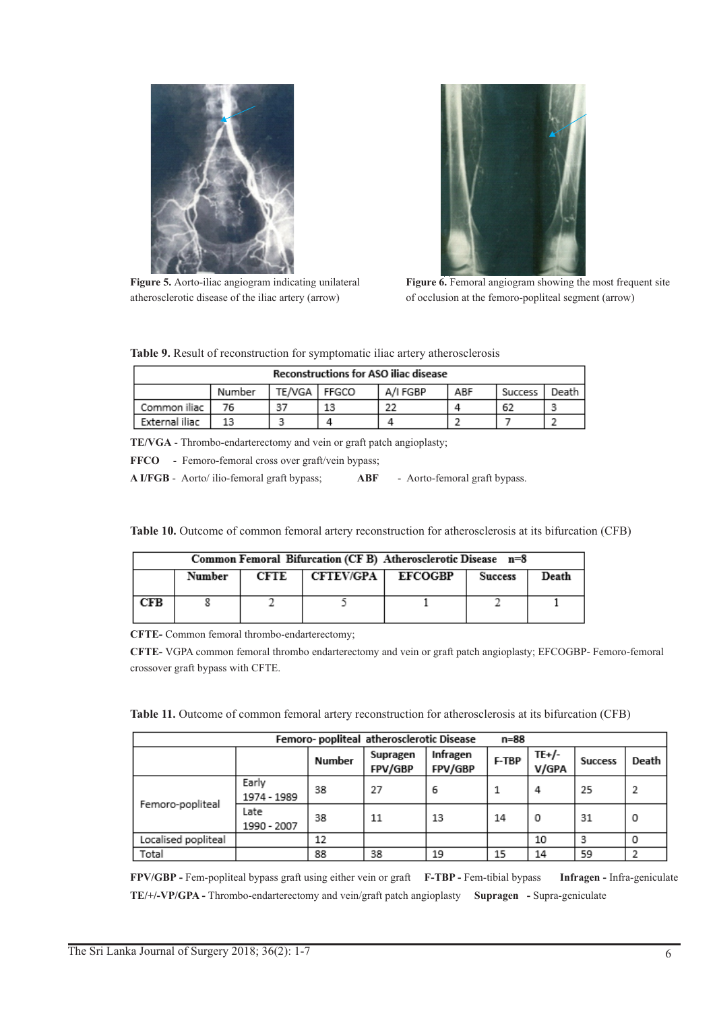

**Figure 5.** Aorto-iliac angiogram indicating unilateral atherosclerotic disease of the iliac artery (arrow)



Figure 6. Femoral angiogram showing the most frequent site of occlusion at the femoro-popliteal segment (arrow)

| <b>Reconstructions for ASO iliac disease</b> |        |                |    |          |     |         |         |  |
|----------------------------------------------|--------|----------------|----|----------|-----|---------|---------|--|
|                                              | Number | TE/VGA   FFGCO |    | A/I FGBP | ABF | Success | Death . |  |
| Common iliac                                 | 76     | 37             | 13 | 22       |     | 62      |         |  |
| External iliac                               |        |                |    |          |     |         |         |  |

**TE/VGA** - Thrombo-endarterectomy and vein or graft patch angioplasty;

FFCO - Femoro-femoral cross over graft/vein bypass;

**A I/FGB** - Aorto/ ilio-femoral graft bypass; **ABF** - Aorto-femoral graft bypass.

Table 10. Outcome of common femoral artery reconstruction for atherosclerosis at its bifurcation (CFB)

| Common Femoral Bifurcation (CF B) Atherosclerotic Disease n=8 |        |      |                     |  |                |       |  |  |  |
|---------------------------------------------------------------|--------|------|---------------------|--|----------------|-------|--|--|--|
|                                                               | Number | CFTE | CFTEV/GPA   EFCOGBP |  | <b>Success</b> | Death |  |  |  |
| CFB                                                           |        |      |                     |  |                |       |  |  |  |

**CFTE-** Common femoral thrombo-endarterectomy;

**CFTE-** VGPA common femoral thrombo endarterectomy and vein or graft patch angioplasty; EFCOGBP- Femoro-femoral crossover graft bypass with CFTE.

| Femoro- popliteal atherosclerotic Disease<br>n=88 |                      |        |                     |                     |       |                |                |       |  |  |
|---------------------------------------------------|----------------------|--------|---------------------|---------------------|-------|----------------|----------------|-------|--|--|
|                                                   |                      | Number | Supragen<br>FPV/GBP | Infragen<br>FPV/GBP | F-TBP | TE+/-<br>V/GPA | <b>Success</b> | Death |  |  |
| Femoro-popliteal                                  | Early<br>1974 - 1989 | 38     | 27                  | 6                   |       | 4              | 25             | 2     |  |  |
|                                                   | Late<br>1990 - 2007  | 38     | 11                  | 13                  | 14    | 0              | 31             | 0     |  |  |
| Localised popliteal                               |                      | 12     |                     |                     |       | 10             | в              | 0     |  |  |
| Total                                             |                      | 88     | 38                  | 19                  | 15    | 14             | 59             |       |  |  |

**FPV/GBP -** Fem-popliteal bypass graft using either vein or graft **F-TBP -** Fem-tibial bypass **Infragen -** Infra-geniculate **TE/+/-VP/GPA -** Thrombo-endarterectomy and vein/graft patch angioplasty **Supragen -** Supra-geniculate